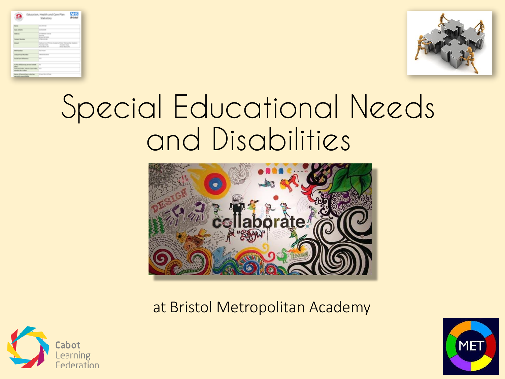|                                                                  | <b>Briston</b><br>Statutory                                                                                                                        |
|------------------------------------------------------------------|----------------------------------------------------------------------------------------------------------------------------------------------------|
| <b>Target</b>                                                    | <b>Security</b>                                                                                                                                    |
| <b>Contact of Manufacturer</b>                                   | <b>WARRANTEE</b>                                                                                                                                   |
| <b>Address</b>                                                   | terministers Analysis<br><b>Survivor</b><br><b>Bridge Art Hills</b>                                                                                |
| <b>Solar Books</b>                                               | Children start and                                                                                                                                 |
| <b>Links</b>                                                     | National Court Primary Academic Broker Harman-Page Academic<br>Tennise Kell<br><b>Donator</b> Roads<br><b>Brown William Pilot</b><br>\$100 SERVICE |
| <b>MATELESS</b>                                                  | <b>Tour Street</b>                                                                                                                                 |
| <b>Industry Proof Months:</b>                                    | <b>WELL-WITH AN ARTS</b>                                                                                                                           |
| <b>Barriet Case, Ballymous</b>                                   | <b>WE</b>                                                                                                                                          |
| a day alternative process build-<br>about 1                      | $\sim$                                                                                                                                             |
| half-last Holla, lodging Fax: Hollay, 1914<br>technical in when  |                                                                                                                                                    |
| Norry: of Reconstitute who has<br>an exclude concerns their sup- | We analysis as forced                                                                                                                              |



## Special Educational Needs and Disabilities



at Bristol Metropolitan Academy



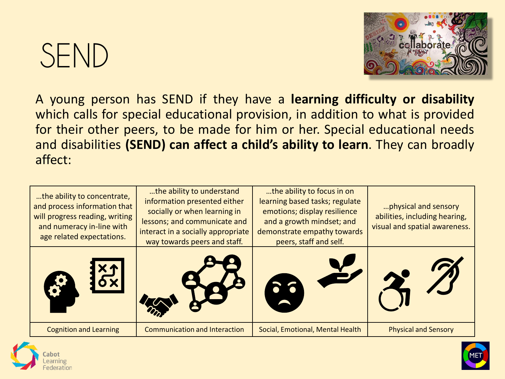## SEND



A young person has SEND if they have a **learning difficulty or disability** which calls for special educational provision, in addition to what is provided for their other peers, to be made for him or her. Special educational needs and disabilities **(SEND) can affect a child's ability to learn**. They can broadly affect:

| the ability to concentrate,<br>and process information that<br>will progress reading, writing<br>and numeracy in-line with<br>age related expectations. | the ability to understand<br>information presented either<br>socially or when learning in<br>lessons; and communicate and<br>interact in a socially appropriate<br>way towards peers and staff. | the ability to focus in on<br>learning based tasks; regulate<br>emotions; display resilience<br>and a growth mindset; and<br>demonstrate empathy towards<br>peers, staff and self. | physical and sensory<br>abilities, including hearing,<br>visual and spatial awareness. |
|---------------------------------------------------------------------------------------------------------------------------------------------------------|-------------------------------------------------------------------------------------------------------------------------------------------------------------------------------------------------|------------------------------------------------------------------------------------------------------------------------------------------------------------------------------------|----------------------------------------------------------------------------------------|
|                                                                                                                                                         |                                                                                                                                                                                                 |                                                                                                                                                                                    |                                                                                        |
| <b>Cognition and Learning</b>                                                                                                                           | <b>Communication and Interaction</b>                                                                                                                                                            | Social, Emotional, Mental Health                                                                                                                                                   | <b>Physical and Sensory</b>                                                            |



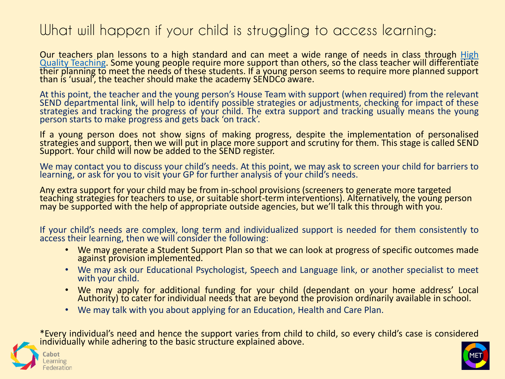## What will happen if your child is struggling to access learning:

Our teachers plan lessons to a high standard and can meet a wide range of needs in class through High Quality Teaching. Some young people require more support than others, so the class teacher will [differentiate](https://educationendowmentfoundation.org.uk/education-evidence/guidance-reports/send) their planning to meet the needs of these students. If a young person seems to require more planned support than is 'usual', the teacher should make the academy SENDCo aware.

At this point, the teacher and the young person's House Team with support (when required) from the relevant SEND departmental link, will help to identify possible strategies or adjustments, checking for impact of these strategies and tracking the progress of your child. The extra support and tracking usually means the young person starts to make progress and gets back 'on track'.

If a young person does not show signs of making progress, despite the implementation of personalised strategies and support, then we will put in place more support and scrutiny for them. This stage is called SEND Support. Your child will now be added to the SEND register.

We may contact you to discuss your child's needs. At this point, we may ask to screen your child for barriers to learning, or ask for you to visit your GP for further analysis of your child's needs.

Any extra support for your child may be from in-school provisions (screeners to generate more targeted teaching strategies for teachers to use, or suitable short-term interventions). Alternatively, the young person may be supported with the help of appropriate outside agencies, but we'll talk this through with you.

If your child's needs are complex, long term and individualized support is needed for them consistently to access their learning, then we will consider the following:

- We may generate a Student Support Plan so that we can look at progress of specific outcomes made against provision implemented.
- We may ask our Educational Psychologist, Speech and Language link, or another specialist to meet with your child.
- We may apply for additional funding for your child (dependant on your home address' Local Authority) to cater for individual needs that are beyond the provision ordinarily available in school.
- We may talk with you about applying for an Education, Health and Care Plan.

\*Every individual's need and hence the support varies from child to child, so every child's case is considered individually while adhering to the basic structure explained above.